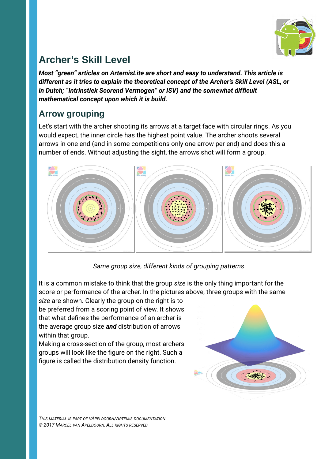

# **Archer's Skill Level**

*Most "green" articles on ArtemisLite are short and easy to understand. This article is different as it tries to explain the theoretical concept of the Archer's Skill Level (ASL, or in Dutch; "Intrinstiek Scorend Vermogen" or ISV) and the somewhat difficult mathematical concept upon which it is build.*

### **Arrow grouping**

Let's start with the archer shooting its arrows at a target face with circular rings. As you would expect, the inner circle has the highest point value. The archer shoots several arrows in one end (and in some competitions only one arrow per end) and does this a number of ends. Without adjusting the sight, the arrows shot will form a group.



*Same group size, different kinds of grouping patterns*

It is a common mistake to think that the group *size* is the only thing important for the score or performance of the archer. In the pictures above, three groups with the same

*size* are shown. Clearly the group on the right is to be preferred from a scoring point of view. It shows that what defines the performance of an archer is the average group size *and* distribution of arrows within that group.

Making a cross-section of the group, most archers groups will look like the figure on the right. Such a figure is called the distribution density function.

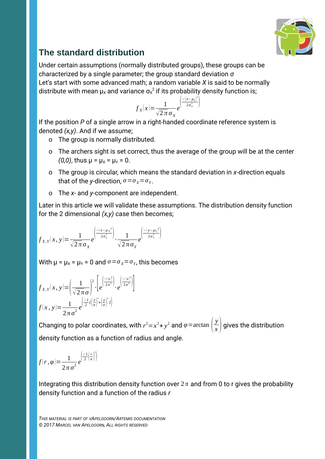

## **The standard distribution**

Under certain assumptions (normally distributed groups), these groups can be characterized by a single parameter; the group standard deviation *σ* Let's start with some advanced math; a random variable *X* is said to be normally distribute with mean  $\mu_\textnormal{x}$  and variance  $\sigma_\textnormal{x}{}^2$  if its probability density function is;

$$
f_X(x) = \frac{1}{\sqrt{2 \pi} \sigma_X} e^{\left(\frac{-(x-\mu_X)^2}{2 \sigma_X^2}\right)}
$$

2

If the position *P* of a single arrow in a right-handed coordinate reference system is denoted *(x,y)*. And if we assume;

- o The group is normally distributed.
- o The archers sight is set correct, thus the average of the group will be at the center *(0,0)*, thus  $\mu = \mu_X = \mu_Y = 0$ .
- o The group is circular, which means the standard deviation in *x*-direction equals that of the *y*-direction,  $\sigma = \sigma_{\chi} = \sigma_{\gamma}$ .
- o The *x-* and *y-*component are independent.

Later in this article we will validate these assumptions. The distribution density function for the 2 dimensional *(x,y)* case then becomes;

$$
f_{X,Y}(x,y) = \frac{1}{\sqrt{2\pi}\sigma_X} e^{\left(\frac{-(x-\mu_X)^2}{2\sigma_X^2}\right)} \cdot \frac{1}{\sqrt{2\pi}\sigma_Y} e^{\left(\frac{-(y-\mu_Y)^2}{2\sigma_Y^2}\right)}
$$

With  $\mu = \mu_X = \mu_Y = 0$  and  $\sigma = \sigma_X = \sigma_Y$ , this becomes

$$
f_{X,Y}(x,y) = \left(\frac{1}{\sqrt{2\pi}\sigma}\right)^2 \cdot \left[e^{\left(\frac{-(x)^2}{2\sigma^2}\right)} \cdot e^{\left(\frac{-(x)^2}{2\sigma^2}\right)}\right]
$$

$$
f(x,y) = \frac{1}{2\pi\sigma^2}e^{\left(\frac{-1}{2}l\left(\frac{x}{\sigma}\right)^2 + \left(\frac{y}{\sigma}\right)^2\right)}
$$

Changing to polar coordinates, with  $r^2 = x^2 + y^2$  and  $\varphi = \arctan\left(\frac{y}{x}\right)$  $\frac{y}{x}$  gives the distribution density function as a function of radius and angle.

$$
f(r,\varphi) = \frac{1}{2\pi\,\sigma^2} e^{\left(\frac{-1}{2}\left(\frac{r}{\sigma}\right)^2\right)}
$$

Integrating this distribution density function over  $2\pi$  and from 0 to r gives the probability density function and a function of the radius *r*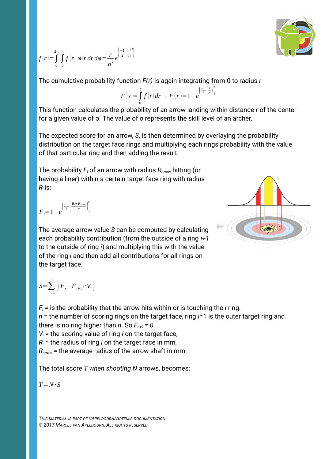$$
\begin{pmatrix} 1 \\ 0 \\ 0 \end{pmatrix}
$$

$$
f(r) = \int_{0}^{2\pi} \int_{0}^{r} f(r, \varphi) r dr d\varphi = \frac{r}{\sigma^2} e^{\left(\frac{-1}{2}\left(\frac{r}{\sigma}\right)^2\right)}
$$

The cumulative probability function *F(r)* is again integrating from 0 to radius *r*

$$
F(x) = \int_{0}^{x} f(r) dr \rightarrow F(r) = 1 - e^{\left(\frac{-1}{2}\left(\frac{r}{\sigma}\right)^{2}\right)}
$$

 $\frac{1}{2}$ 

This function calculates the probability of an arrow landing within distance *r* of the center for a given value of σ. The value of σ represents the skill level of an archer.

The expected score for an arrow, *S*, is then determined by overlaying the probability distribution on the target face rings and multiplying each rings probability with the value of that particular ring and then adding the result.

The probability *Fi* of an arrow with radius *Rarrow* hitting (or having a liner) within a certain target face ring with radius  $R_i$  is:

$$
{F}_{i} = 1 - e^{\left(\frac{-1}{2}\left(\frac{R_{i} + R_{\text{arrow}}}{\sigma}\right)^{2}\right)}
$$

The average arrow value *S* can be computed by calculating each probability contribution (from the outside of a ring *i+1*  to the outside of ring *i*) and multiplying this with the value of the ring *i* and then add all contributions for all rings on the target face.



$$
S\text{=}\sum_{i=1}^{n}\left[\left(\boldsymbol{F}_{i}\text{--}\boldsymbol{F}_{i\text{+}1}\right)\cdot\boldsymbol{V}_{i}\right]
$$

 $F_i$  = is the probability that the arrow hits within or is touching the *i* ring. *n* = the number of scoring rings on the target face, ring *i*=1 is the outer target ring and there is no ring higher than *n*. So  $F_{n+1} = 0$  $V_i$  = the scoring value of ring *i* on the target face,  $R_i$  = the radius of ring *i* on the target face in mm,

*Rarrow =* the average radius of the arrow shaft in mm.

The total score *T when shooting N* arrows, becomes;

 $T = N \cdot S$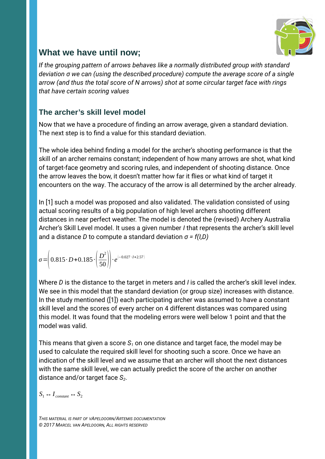

### **What we have until now;**

*If the grouping pattern of arrows behaves like a normally distributed group with standard deviation σ we can (using the described procedure) compute the average score of a single arrow (and thus the total score of N arrows) shot at some circular target face with rings that have certain scoring values*

#### **The archer's skill level model**

Now that we have a procedure of finding an arrow average, given a standard deviation. The next step is to find a value for this standard deviation.

The whole idea behind finding a model for the archer's shooting performance is that the skill of an archer remains constant; independent of how many arrows are shot, what kind of target-face geometry and scoring rules, and independent of shooting distance. Once the arrow leaves the bow, it doesn't matter how far it flies or what kind of target it encounters on the way. The accuracy of the arrow is all determined by the archer already.

In [1] such a model was proposed and also validated. The validation consisted of using actual scoring results of a big population of high level archers shooting different distances in near perfect weather. The model is denoted the (revised) Archery Australia Archer's Skill Level model. It uses a given number *I* that represents the archer's skill level and a distance *D* to compute a standard deviation *σ = f(I,D)*

$$
\sigma = \left(0.815 \cdot D + 0.185 \cdot \left(\frac{D^2}{50}\right)\right) \cdot e^{(-0.027 \cdot I + 2.57)}
$$

Where *D* is the distance to the target in meters and *I* is called the archer's skill level index. We see in this model that the standard deviation (or group size) increases with distance. In the study mentioned ([1]) each participating archer was assumed to have a constant skill level and the scores of every archer on 4 different distances was compared using this model. It was found that the modeling errors were well below 1 point and that the model was valid.

This means that given a score *S1* on one distance and target face, the model may be used to calculate the required skill level for shooting such a score. Once we have an indication of the skill level and we assume that an archer will shoot the next distances with the same skill level, we can actually predict the score of the archer on another distance and/or target face *S2*.

 $S_1 \leftrightarrow I_{constant} \leftrightarrow S_2$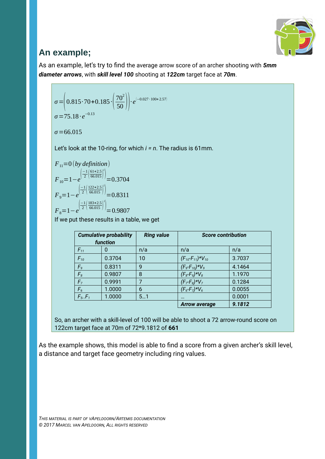

### **An example;**

As an example, let's try to find the average arrow score of an archer shooting with *5mm diameter arrows*, with *skill level 100* shooting at *122cm* target face at *70m*.

$$
\sigma = \left(0.815 \cdot 70 + 0.185 \cdot \left(\frac{70^2}{50}\right)\right) \cdot e^{(-0.027 \cdot 100 + 2.57)}
$$
  
\n
$$
\sigma = 75.18 \cdot e^{-0.13}
$$

*σ*=66.015

Let's look at the 10-ring, for which *i = n*. The radius is 61mm.

*F*11=0 (*by definition*) *F*10=1−*e* ( −1 2 ( 61+2.5 66.015 ) 2 )=0.3704 *F*9=1−*e* ( −1 2 ( 122+2.5 66.015 ) )=0.8311 *F*8=1−*e* ( −1 2 ( 183+2.5 66.015 ) 2 )=0.9807

If we put these results in a table, we get

| <b>Cumulative probability</b><br>function |        | <b>Ring value</b> | <b>Score contribution</b>    |        |
|-------------------------------------------|--------|-------------------|------------------------------|--------|
| $F_{11}$                                  | 0      | n/a               | n/a                          | n/a    |
| $F_{10}$                                  | 0.3704 | 10                | $(F_{10} - F_{11}) * V_{10}$ | 3.7037 |
| F <sub>9</sub>                            | 0.8311 | 9                 | $(F_9-F_{10})*V_9$           | 4.1464 |
| F <sub>8</sub>                            | 0.9807 | 8                 | $(F_8-F_9)*V_8$              | 1.1970 |
| F <sub>7</sub>                            | 0.9991 | 7                 | $(F_7F_8)^*V_7$              | 0.1284 |
| F <sub>6</sub>                            | 1.0000 | 6                 | $(F_6 - F_7) * V_6$          | 0.0055 |
| $F_5.F_1$                                 | 1.0000 | 51                | $\cdots$                     | 0.0001 |
|                                           |        |                   | <b>Arrow average</b>         | 9.1812 |

So, an archer with a skill-level of 100 will be able to shoot a 72 arrow-round score on 122cm target face at 70m of 72\*9.1812 of **661**

As the example shows, this model is able to find a score from a given archer's skill level, a distance and target face geometry including ring values.